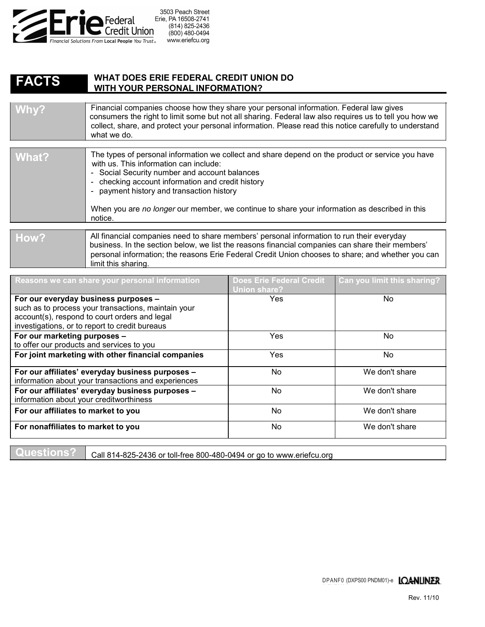

## **WHAT DOES ERIE FEDERAL CREDIT UNION DO WITH YOUR PERSONAL INFORMATION? FACTS**

| Financial companies choose how they share your personal information. Federal law gives<br>Why?<br>consumers the right to limit some but not all sharing. Federal law also requires us to tell you how we<br>collect, share, and protect your personal information. Please read this notice carefully to understand<br>what we do. |
|-----------------------------------------------------------------------------------------------------------------------------------------------------------------------------------------------------------------------------------------------------------------------------------------------------------------------------------|
|-----------------------------------------------------------------------------------------------------------------------------------------------------------------------------------------------------------------------------------------------------------------------------------------------------------------------------------|

| What? | The types of personal information we collect and share depend on the product or service you have<br>with us. This information can include:<br>- Social Security number and account balances<br>- checking account information and credit history<br>- payment history and transaction history<br>When you are no longer our member, we continue to share your information as described in this<br>notice. |
|-------|-----------------------------------------------------------------------------------------------------------------------------------------------------------------------------------------------------------------------------------------------------------------------------------------------------------------------------------------------------------------------------------------------------------|
| How?  | All financial companies need to share members' personal information to run their everyday<br>business. In the section below, we list the reasons financial companies can share their members'                                                                                                                                                                                                             |

business. In the section below, we list the reasons financial companies can share their members' personal information; the reasons Erie Federal Credit Union chooses to share; and whether you can limit this sharing.

| Reasons we can share your personal information      | <b>Does Erie Federal Credit</b><br>Union share? | Can you limit this sharing? |
|-----------------------------------------------------|-------------------------------------------------|-----------------------------|
| For our everyday business purposes -                | <b>Yes</b>                                      | No.                         |
| such as to process your transactions, maintain your |                                                 |                             |
| account(s), respond to court orders and legal       |                                                 |                             |
| investigations, or to report to credit bureaus      |                                                 |                             |
| For our marketing purposes -                        | Yes                                             | No.                         |
| to offer our products and services to you           |                                                 |                             |
| For joint marketing with other financial companies  | <b>Yes</b>                                      | No.                         |
|                                                     |                                                 |                             |
| For our affiliates' everyday business purposes -    | No.                                             | We don't share              |
| information about your transactions and experiences |                                                 |                             |
| For our affiliates' everyday business purposes -    | No.                                             | We don't share              |
| information about your creditworthiness             |                                                 |                             |
| For our affiliates to market to you                 | No.                                             | We don't share              |
| For nonaffiliates to market to you                  | N <sub>o</sub>                                  | We don't share              |

**Questions?** Call 814-825-2436 or toll-free 800-480-0494 or go to www.eriefcu.org

DPANF0 (DXPS00 PNDM01)-e LOANLINER

01PNDM01)